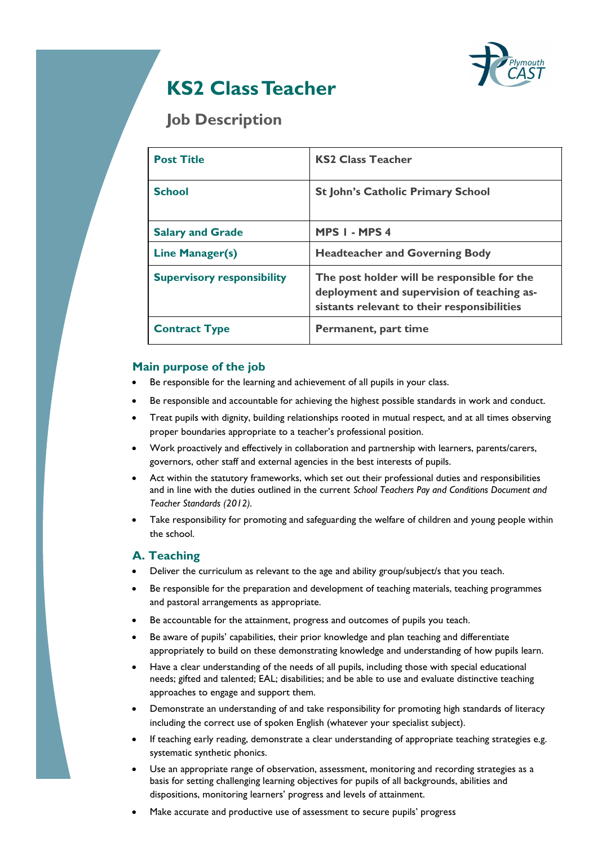

# **KS2 Class Teacher**

# **Job Description**

| <b>Post Title</b>                 | <b>KS2 Class Teacher</b>                                                                                                                 |
|-----------------------------------|------------------------------------------------------------------------------------------------------------------------------------------|
| <b>School</b>                     | <b>St John's Catholic Primary School</b>                                                                                                 |
| <b>Salary and Grade</b>           | MPS I - MPS 4                                                                                                                            |
| <b>Line Manager(s)</b>            | <b>Headteacher and Governing Body</b>                                                                                                    |
| <b>Supervisory responsibility</b> | The post holder will be responsible for the<br>deployment and supervision of teaching as-<br>sistants relevant to their responsibilities |
| <b>Contract Type</b>              | Permanent, part time                                                                                                                     |

## **Main purpose of the job**

- Be responsible for the learning and achievement of all pupils in your class.
- Be responsible and accountable for achieving the highest possible standards in work and conduct.
- Treat pupils with dignity, building relationships rooted in mutual respect, and at all times observing proper boundaries appropriate to a teacher's professional position.
- Work proactively and effectively in collaboration and partnership with learners, parents/carers, governors, other staff and external agencies in the best interests of pupils.
- Act within the statutory frameworks, which set out their professional duties and responsibilities and in line with the duties outlined in the current *School Teachers Pay and Conditions Document and Teacher Standards (2012).*
- Take responsibility for promoting and safeguarding the welfare of children and young people within the school.

### **A. Teaching**

- Deliver the curriculum as relevant to the age and ability group/subject/s that you teach.
- Be responsible for the preparation and development of teaching materials, teaching programmes and pastoral arrangements as appropriate.
- Be accountable for the attainment, progress and outcomes of pupils you teach.
- Be aware of pupils' capabilities, their prior knowledge and plan teaching and differentiate appropriately to build on these demonstrating knowledge and understanding of how pupils learn.
- Have a clear understanding of the needs of all pupils, including those with special educational needs; gifted and talented; EAL; disabilities; and be able to use and evaluate distinctive teaching approaches to engage and support them.
- Demonstrate an understanding of and take responsibility for promoting high standards of literacy including the correct use of spoken English (whatever your specialist subject).
- If teaching early reading, demonstrate a clear understanding of appropriate teaching strategies e.g. systematic synthetic phonics.
- Use an appropriate range of observation, assessment, monitoring and recording strategies as a basis for setting challenging learning objectives for pupils of all backgrounds, abilities and dispositions, monitoring learners' progress and levels of attainment.
- Make accurate and productive use of assessment to secure pupils' progress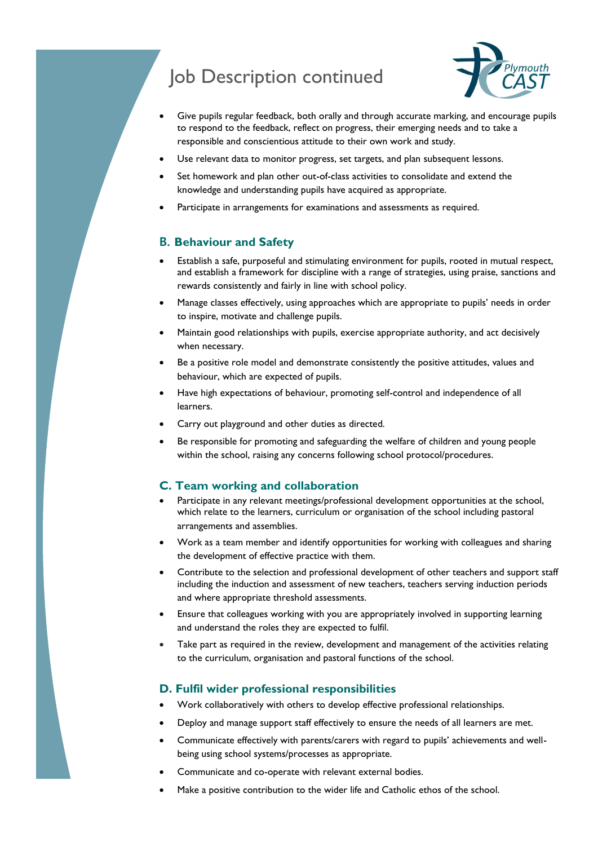# Job Description continued



- Give pupils regular feedback, both orally and through accurate marking, and encourage pupils to respond to the feedback, reflect on progress, their emerging needs and to take a responsible and conscientious attitude to their own work and study.
- Use relevant data to monitor progress, set targets, and plan subsequent lessons.
- Set homework and plan other out-of-class activities to consolidate and extend the knowledge and understanding pupils have acquired as appropriate.
- Participate in arrangements for examinations and assessments as required.

#### **B. Behaviour and Safety**

- Establish a safe, purposeful and stimulating environment for pupils, rooted in mutual respect, and establish a framework for discipline with a range of strategies, using praise, sanctions and rewards consistently and fairly in line with school policy.
- Manage classes effectively, using approaches which are appropriate to pupils' needs in order to inspire, motivate and challenge pupils.
- Maintain good relationships with pupils, exercise appropriate authority, and act decisively when necessary.
- Be a positive role model and demonstrate consistently the positive attitudes, values and behaviour, which are expected of pupils.
- Have high expectations of behaviour, promoting self-control and independence of all learners.
- Carry out playground and other duties as directed.
- Be responsible for promoting and safeguarding the welfare of children and young people within the school, raising any concerns following school protocol/procedures.

#### **C. Team working and collaboration**

- Participate in any relevant meetings/professional development opportunities at the school, which relate to the learners, curriculum or organisation of the school including pastoral arrangements and assemblies.
- Work as a team member and identify opportunities for working with colleagues and sharing the development of effective practice with them.
- Contribute to the selection and professional development of other teachers and support staff including the induction and assessment of new teachers, teachers serving induction periods and where appropriate threshold assessments.
- Ensure that colleagues working with you are appropriately involved in supporting learning and understand the roles they are expected to fulfil.
- Take part as required in the review, development and management of the activities relating to the curriculum, organisation and pastoral functions of the school.

#### **D. Fulfil wider professional responsibilities**

- Work collaboratively with others to develop effective professional relationships.
- Deploy and manage support staff effectively to ensure the needs of all learners are met.
- Communicate effectively with parents/carers with regard to pupils' achievements and wellbeing using school systems/processes as appropriate.
- Communicate and co-operate with relevant external bodies.
- Make a positive contribution to the wider life and Catholic ethos of the school.